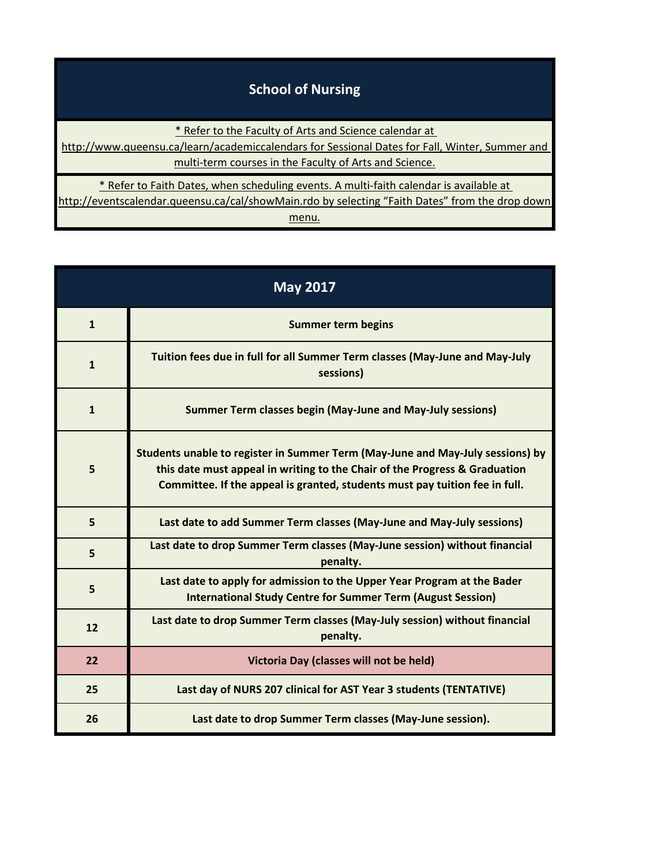## **School of Nursing** [\\* Refer to the Faculty of Arts and Science calendar at](http://www.queensu.ca/learn/academiccalendars)  [http://www.q](http://www.queensu.ca/learn/academiccalendars)ueensu.ca/learn/academiccalendars for Sessional Dates for Fall, Winter, Summer and multi-term courses in the Faculty of Arts and Science. [\\* Refer to Faith Dates, when scheduling events. A multi-faith calendar is available at](http://eventscalendar.queensu.ca/cal/showMain.rdo)  [http://eventsc](http://eventscalendar.queensu.ca/cal/showMain.rdo)alendar.queensu.ca/cal/showMain.rdo by selecting "Faith Dates" from the drop down [m](http://eventscalendar.queensu.ca/cal/showMain.rdo)enu.

| <b>May 2017</b> |                                                                                                                                                                                                                                             |
|-----------------|---------------------------------------------------------------------------------------------------------------------------------------------------------------------------------------------------------------------------------------------|
| $\mathbf{1}$    | <b>Summer term begins</b>                                                                                                                                                                                                                   |
| $\mathbf{1}$    | Tuition fees due in full for all Summer Term classes (May-June and May-July<br>sessions)                                                                                                                                                    |
| $\mathbf{1}$    | <b>Summer Term classes begin (May-June and May-July sessions)</b>                                                                                                                                                                           |
| 5               | Students unable to register in Summer Term (May-June and May-July sessions) by<br>this date must appeal in writing to the Chair of the Progress & Graduation<br>Committee. If the appeal is granted, students must pay tuition fee in full. |
| 5               | Last date to add Summer Term classes (May-June and May-July sessions)                                                                                                                                                                       |
| 5               | Last date to drop Summer Term classes (May-June session) without financial<br>penalty.                                                                                                                                                      |
| 5               | Last date to apply for admission to the Upper Year Program at the Bader<br><b>International Study Centre for Summer Term (August Session)</b>                                                                                               |
| 12              | Last date to drop Summer Term classes (May-July session) without financial<br>penalty.                                                                                                                                                      |
| 22              | Victoria Day (classes will not be held)                                                                                                                                                                                                     |
| 25              | Last day of NURS 207 clinical for AST Year 3 students (TENTATIVE)                                                                                                                                                                           |
| 26              | Last date to drop Summer Term classes (May-June session).                                                                                                                                                                                   |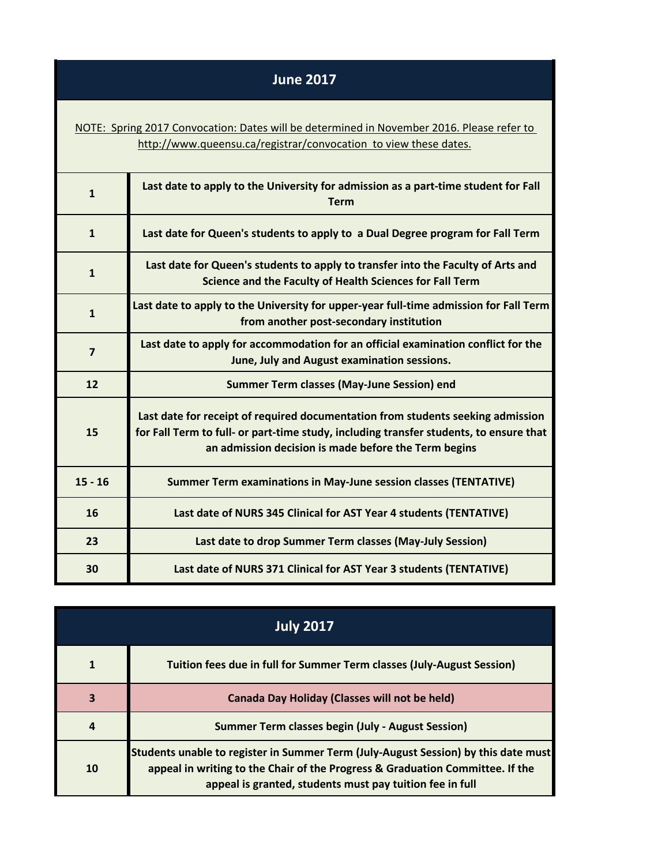## **June 2017**

[NOTE: Spring 2017 Convocation: Dates will be determined in November 2016. Please refer to](http://www.queensu.ca/registrar/convocation)  http://www.queensu.ca/registrar/convocation to view these dates.

| $\mathbf{1}$            | Last date to apply to the University for admission as a part-time student for Fall<br><b>Term</b>                                                                                                                                 |
|-------------------------|-----------------------------------------------------------------------------------------------------------------------------------------------------------------------------------------------------------------------------------|
| $\mathbf{1}$            | Last date for Queen's students to apply to a Dual Degree program for Fall Term                                                                                                                                                    |
| $\mathbf{1}$            | Last date for Queen's students to apply to transfer into the Faculty of Arts and<br>Science and the Faculty of Health Sciences for Fall Term                                                                                      |
| $\mathbf{1}$            | Last date to apply to the University for upper-year full-time admission for Fall Term<br>from another post-secondary institution                                                                                                  |
| $\overline{\mathbf{z}}$ | Last date to apply for accommodation for an official examination conflict for the<br>June, July and August examination sessions.                                                                                                  |
|                         |                                                                                                                                                                                                                                   |
| 12                      | <b>Summer Term classes (May-June Session) end</b>                                                                                                                                                                                 |
| 15                      | Last date for receipt of required documentation from students seeking admission<br>for Fall Term to full- or part-time study, including transfer students, to ensure that<br>an admission decision is made before the Term begins |
| $15 - 16$               | <b>Summer Term examinations in May-June session classes (TENTATIVE)</b>                                                                                                                                                           |
| 16                      | Last date of NURS 345 Clinical for AST Year 4 students (TENTATIVE)                                                                                                                                                                |
| 23                      | Last date to drop Summer Term classes (May-July Session)                                                                                                                                                                          |

| <b>July 2017</b> |                                                                                                                                                                                                                                 |
|------------------|---------------------------------------------------------------------------------------------------------------------------------------------------------------------------------------------------------------------------------|
|                  | Tuition fees due in full for Summer Term classes (July-August Session)                                                                                                                                                          |
| 3                | <b>Canada Day Holiday (Classes will not be held)</b>                                                                                                                                                                            |
| 4                | <b>Summer Term classes begin (July - August Session)</b>                                                                                                                                                                        |
| 10               | Students unable to register in Summer Term (July-August Session) by this date must<br>appeal in writing to the Chair of the Progress & Graduation Committee. If the<br>appeal is granted, students must pay tuition fee in full |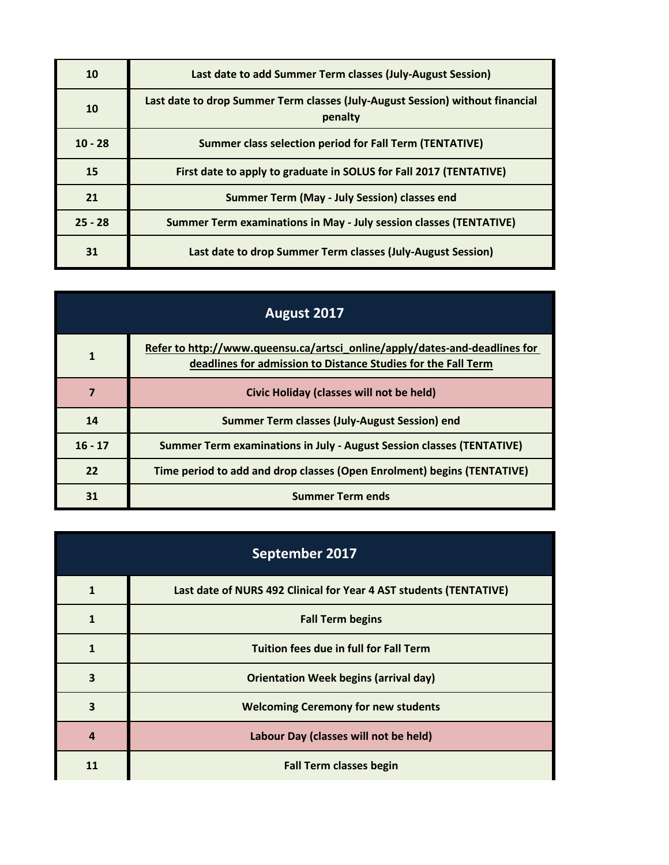| 10        | Last date to add Summer Term classes (July-August Session)                               |
|-----------|------------------------------------------------------------------------------------------|
| 10        | Last date to drop Summer Term classes (July-August Session) without financial<br>penalty |
| $10 - 28$ | Summer class selection period for Fall Term (TENTATIVE)                                  |
| 15        | First date to apply to graduate in SOLUS for Fall 2017 (TENTATIVE)                       |
| 21        | Summer Term (May - July Session) classes end                                             |
| $25 - 28$ | <b>Summer Term examinations in May - July session classes (TENTATIVE)</b>                |
| 31        | Last date to drop Summer Term classes (July-August Session)                              |

| August 2017 |                                                                                                                                             |
|-------------|---------------------------------------------------------------------------------------------------------------------------------------------|
|             | Refer to http://www.queensu.ca/artsci_online/apply/dates-and-deadlines for<br>deadlines for admission to Distance Studies for the Fall Term |
| 7           | Civic Holiday (classes will not be held)                                                                                                    |
| 14          | Summer Term classes (July-August Session) end                                                                                               |
| $16 - 17$   | Summer Term examinations in July - August Session classes (TENTATIVE)                                                                       |
| 22          | Time period to add and drop classes (Open Enrolment) begins (TENTATIVE)                                                                     |
| 31          | <b>Summer Term ends</b>                                                                                                                     |

| September 2017          |                                                                    |
|-------------------------|--------------------------------------------------------------------|
| $\mathbf 1$             | Last date of NURS 492 Clinical for Year 4 AST students (TENTATIVE) |
| 1                       | <b>Fall Term begins</b>                                            |
| $\mathbf 1$             | <b>Tuition fees due in full for Fall Term</b>                      |
| $\overline{\mathbf{3}}$ | <b>Orientation Week begins (arrival day)</b>                       |
| 3                       | <b>Welcoming Ceremony for new students</b>                         |
| $\boldsymbol{4}$        | Labour Day (classes will not be held)                              |
| 11                      | <b>Fall Term classes begin</b>                                     |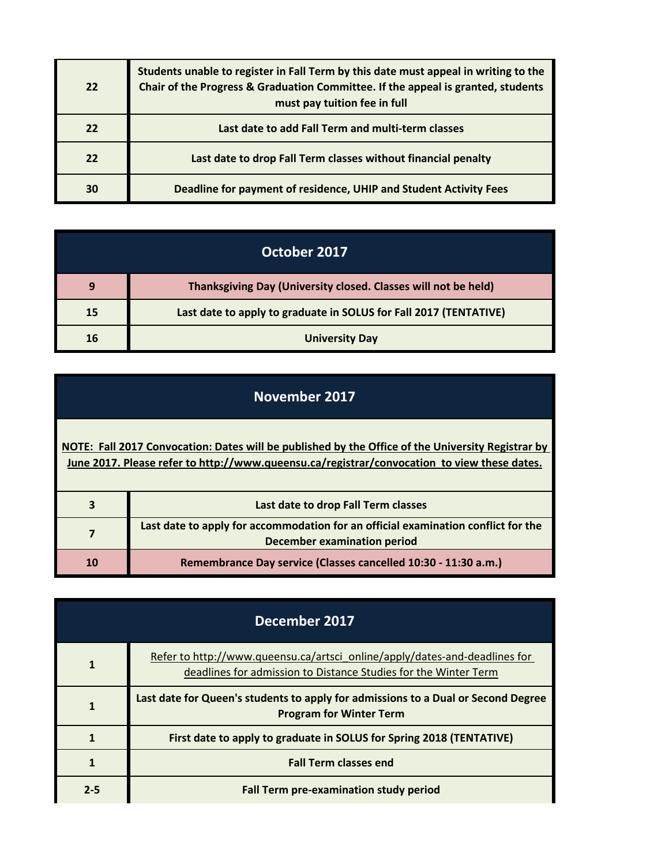| 22 | Students unable to register in Fall Term by this date must appeal in writing to the<br>Chair of the Progress & Graduation Committee. If the appeal is granted, students<br>must pay tuition fee in full |
|----|---------------------------------------------------------------------------------------------------------------------------------------------------------------------------------------------------------|
| 22 | Last date to add Fall Term and multi-term classes                                                                                                                                                       |
| 22 | Last date to drop Fall Term classes without financial penalty                                                                                                                                           |
| 30 | Deadline for payment of residence, UHIP and Student Activity Fees                                                                                                                                       |

| October 2017 |                                                                   |
|--------------|-------------------------------------------------------------------|
| 9            | Thanksgiving Day (University closed. Classes will not be held)    |
| 15           | Last date to apply to graduate in SOLUS for Fall 2017 (TENTATIVE) |
| 16           | <b>University Day</b>                                             |

**[NOTE: Fall 2017 Convocation: Dates will be published by the Office of the University Registrar by](http://www.queensu.ca/registrar/convocation)  [June 2017. P](http://www.queensu.ca/registrar/convocation)lease refer to http://www.queensu.ca/registrar/convocation to view these dates.**

|    | Last date to drop Fall Term classes                                                                              |
|----|------------------------------------------------------------------------------------------------------------------|
|    | Last date to apply for accommodation for an official examination conflict for the<br>December examination period |
| 10 | Remembrance Day service (Classes cancelled 10:30 - 11:30 a.m.)                                                   |

| December 2017 |                                                                                                                                               |
|---------------|-----------------------------------------------------------------------------------------------------------------------------------------------|
|               | Refer to http://www.queensu.ca/artsci_online/apply/dates-and-deadlines for<br>deadlines for admission to Distance Studies for the Winter Term |
|               | Last date for Queen's students to apply for admissions to a Dual or Second Degree<br><b>Program for Winter Term</b>                           |
|               | First date to apply to graduate in SOLUS for Spring 2018 (TENTATIVE)                                                                          |
|               | <b>Fall Term classes end</b>                                                                                                                  |
| $2 - 5$       | <b>Fall Term pre-examination study period</b>                                                                                                 |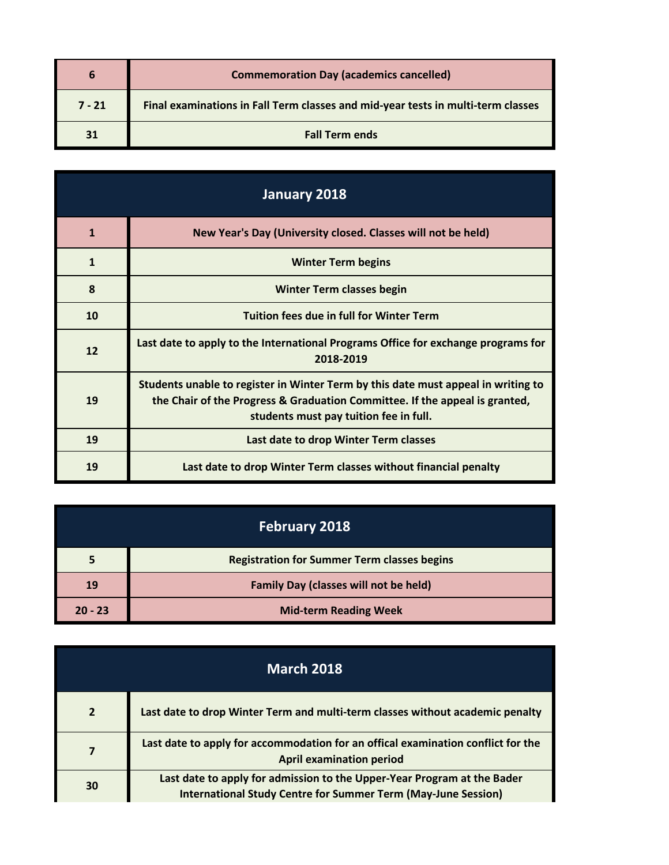|          | <b>Commemoration Day (academics cancelled)</b>                                   |
|----------|----------------------------------------------------------------------------------|
| $7 - 21$ | Final examinations in Fall Term classes and mid-year tests in multi-term classes |
|          | <b>Fall Term ends</b>                                                            |

| January 2018 |                                                                                                                                                                                                            |
|--------------|------------------------------------------------------------------------------------------------------------------------------------------------------------------------------------------------------------|
| 1            | New Year's Day (University closed. Classes will not be held)                                                                                                                                               |
| 1            | <b>Winter Term begins</b>                                                                                                                                                                                  |
| 8            | <b>Winter Term classes begin</b>                                                                                                                                                                           |
| 10           | <b>Tuition fees due in full for Winter Term</b>                                                                                                                                                            |
| 12           | Last date to apply to the International Programs Office for exchange programs for<br>2018-2019                                                                                                             |
| 19           | Students unable to register in Winter Term by this date must appeal in writing to<br>the Chair of the Progress & Graduation Committee. If the appeal is granted,<br>students must pay tuition fee in full. |
| 19           | Last date to drop Winter Term classes                                                                                                                                                                      |
| 19           | Last date to drop Winter Term classes without financial penalty                                                                                                                                            |

| <b>February 2018</b> |                                                    |
|----------------------|----------------------------------------------------|
| 5                    | <b>Registration for Summer Term classes begins</b> |
| 19                   | <b>Family Day (classes will not be held)</b>       |
| $20 - 23$            | <b>Mid-term Reading Week</b>                       |

| <b>March 2018</b> |                                                                                                                                                 |
|-------------------|-------------------------------------------------------------------------------------------------------------------------------------------------|
| $\overline{2}$    | Last date to drop Winter Term and multi-term classes without academic penalty                                                                   |
|                   | Last date to apply for accommodation for an offical examination conflict for the<br><b>April examination period</b>                             |
| 30                | Last date to apply for admission to the Upper-Year Program at the Bader<br><b>International Study Centre for Summer Term (May-June Session)</b> |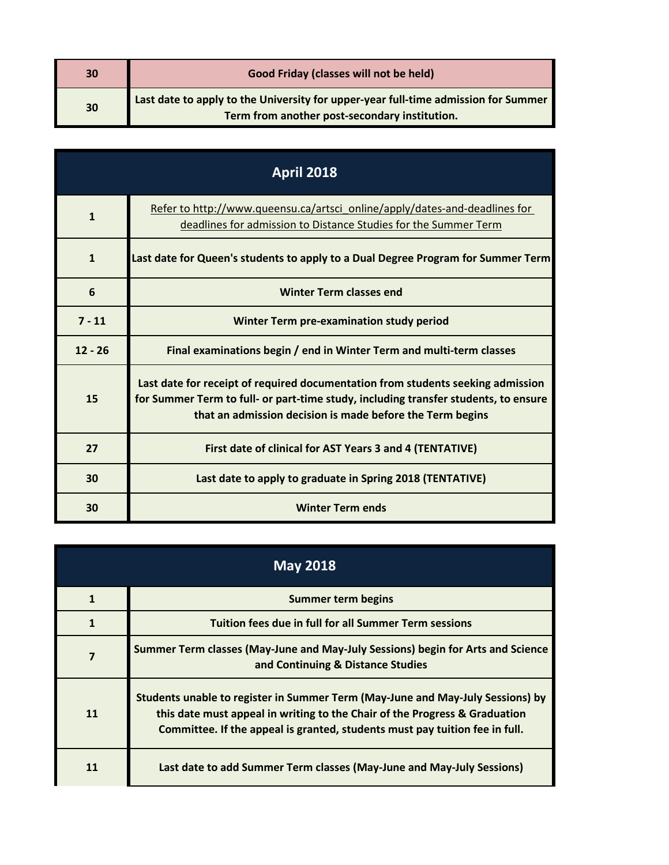| 30 | Good Friday (classes will not be held)                                             |
|----|------------------------------------------------------------------------------------|
| 30 | Last date to apply to the University for upper-year full-time admission for Summer |
|    | Term from another post-secondary institution.                                      |

| <b>April 2018</b> |                                                                                                                                                                                                                                     |
|-------------------|-------------------------------------------------------------------------------------------------------------------------------------------------------------------------------------------------------------------------------------|
| $\mathbf{1}$      | Refer to http://www.queensu.ca/artsci_online/apply/dates-and-deadlines for<br>deadlines for admission to Distance Studies for the Summer Term                                                                                       |
| $\mathbf{1}$      | Last date for Queen's students to apply to a Dual Degree Program for Summer Term                                                                                                                                                    |
| 6                 | <b>Winter Term classes end</b>                                                                                                                                                                                                      |
| $7 - 11$          | <b>Winter Term pre-examination study period</b>                                                                                                                                                                                     |
| $12 - 26$         | Final examinations begin / end in Winter Term and multi-term classes                                                                                                                                                                |
| 15                | Last date for receipt of required documentation from students seeking admission<br>for Summer Term to full- or part-time study, including transfer students, to ensure<br>that an admission decision is made before the Term begins |
| 27                | First date of clinical for AST Years 3 and 4 (TENTATIVE)                                                                                                                                                                            |
| 30                | Last date to apply to graduate in Spring 2018 (TENTATIVE)                                                                                                                                                                           |
| 30                | <b>Winter Term ends</b>                                                                                                                                                                                                             |

| <b>May 2018</b> |                                                                                                                                                                                                                                             |
|-----------------|---------------------------------------------------------------------------------------------------------------------------------------------------------------------------------------------------------------------------------------------|
|                 | <b>Summer term begins</b>                                                                                                                                                                                                                   |
|                 | Tuition fees due in full for all Summer Term sessions                                                                                                                                                                                       |
|                 | Summer Term classes (May-June and May-July Sessions) begin for Arts and Science<br>and Continuing & Distance Studies                                                                                                                        |
| 11              | Students unable to register in Summer Term (May-June and May-July Sessions) by<br>this date must appeal in writing to the Chair of the Progress & Graduation<br>Committee. If the appeal is granted, students must pay tuition fee in full. |
|                 | Last date to add Summer Term classes (May-June and May-July Sessions)                                                                                                                                                                       |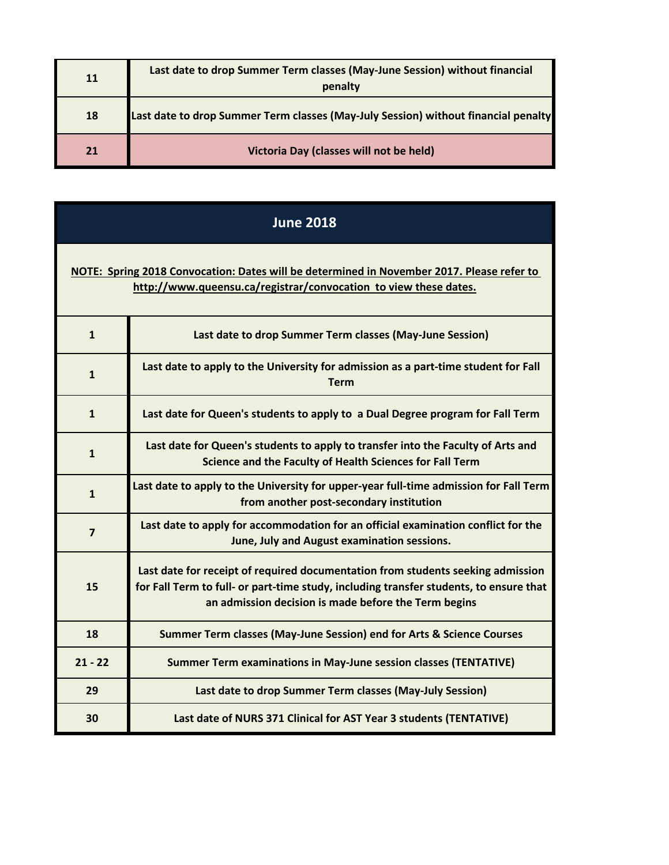| 11 | Last date to drop Summer Term classes (May-June Session) without financial<br>penalty |
|----|---------------------------------------------------------------------------------------|
| 18 | Last date to drop Summer Term classes (May-July Session) without financial penalty    |
|    | Victoria Day (classes will not be held)                                               |

| <b>June 2018</b>                                                                                                                                              |                                                                                                                                                                                                                                   |
|---------------------------------------------------------------------------------------------------------------------------------------------------------------|-----------------------------------------------------------------------------------------------------------------------------------------------------------------------------------------------------------------------------------|
| NOTE: Spring 2018 Convocation: Dates will be determined in November 2017. Please refer to<br>http://www.queensu.ca/registrar/convocation to view these dates. |                                                                                                                                                                                                                                   |
| $\mathbf{1}$                                                                                                                                                  | Last date to drop Summer Term classes (May-June Session)                                                                                                                                                                          |
| $\mathbf{1}$                                                                                                                                                  | Last date to apply to the University for admission as a part-time student for Fall<br><b>Term</b>                                                                                                                                 |
| $\mathbf{1}$                                                                                                                                                  | Last date for Queen's students to apply to a Dual Degree program for Fall Term                                                                                                                                                    |
| $\mathbf{1}$                                                                                                                                                  | Last date for Queen's students to apply to transfer into the Faculty of Arts and<br>Science and the Faculty of Health Sciences for Fall Term                                                                                      |
| $\mathbf{1}$                                                                                                                                                  | Last date to apply to the University for upper-year full-time admission for Fall Term<br>from another post-secondary institution                                                                                                  |
| $\overline{7}$                                                                                                                                                | Last date to apply for accommodation for an official examination conflict for the<br>June, July and August examination sessions.                                                                                                  |
| 15                                                                                                                                                            | Last date for receipt of required documentation from students seeking admission<br>for Fall Term to full- or part-time study, including transfer students, to ensure that<br>an admission decision is made before the Term begins |
| 18                                                                                                                                                            | Summer Term classes (May-June Session) end for Arts & Science Courses                                                                                                                                                             |
| $21 - 22$                                                                                                                                                     | <b>Summer Term examinations in May-June session classes (TENTATIVE)</b>                                                                                                                                                           |
| 29                                                                                                                                                            | Last date to drop Summer Term classes (May-July Session)                                                                                                                                                                          |
| 30                                                                                                                                                            | Last date of NURS 371 Clinical for AST Year 3 students (TENTATIVE)                                                                                                                                                                |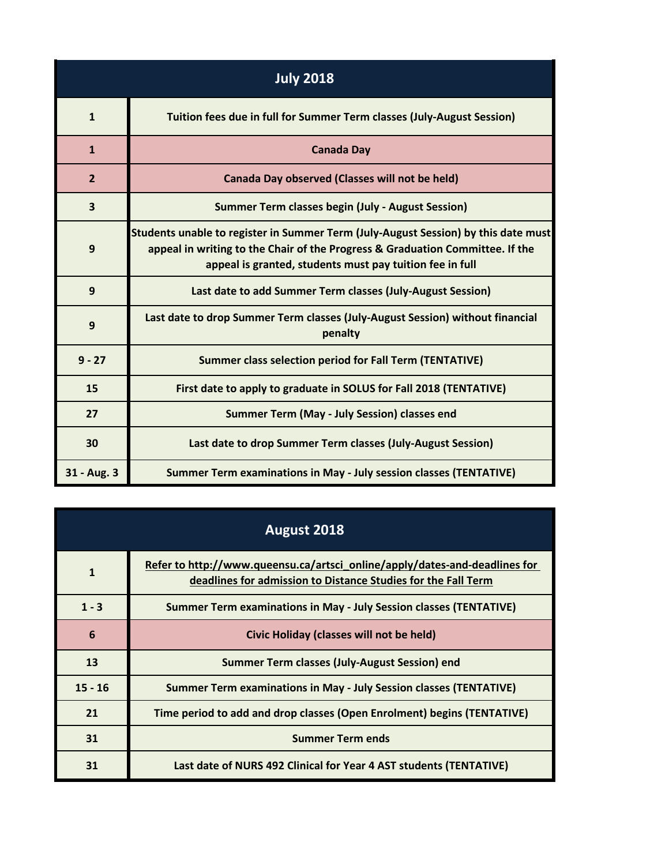| <b>July 2018</b>        |                                                                                                                                                                                                                                 |
|-------------------------|---------------------------------------------------------------------------------------------------------------------------------------------------------------------------------------------------------------------------------|
| $\mathbf{1}$            | Tuition fees due in full for Summer Term classes (July-August Session)                                                                                                                                                          |
| $\mathbf{1}$            | <b>Canada Day</b>                                                                                                                                                                                                               |
| $\overline{2}$          | <b>Canada Day observed (Classes will not be held)</b>                                                                                                                                                                           |
| $\overline{\mathbf{3}}$ | <b>Summer Term classes begin (July - August Session)</b>                                                                                                                                                                        |
| 9                       | Students unable to register in Summer Term (July-August Session) by this date must<br>appeal in writing to the Chair of the Progress & Graduation Committee. If the<br>appeal is granted, students must pay tuition fee in full |
| 9                       | Last date to add Summer Term classes (July-August Session)                                                                                                                                                                      |
| 9                       | Last date to drop Summer Term classes (July-August Session) without financial<br>penalty                                                                                                                                        |
| $9 - 27$                | <b>Summer class selection period for Fall Term (TENTATIVE)</b>                                                                                                                                                                  |
| 15                      | First date to apply to graduate in SOLUS for Fall 2018 (TENTATIVE)                                                                                                                                                              |
| 27                      | Summer Term (May - July Session) classes end                                                                                                                                                                                    |
| 30                      | Last date to drop Summer Term classes (July-August Session)                                                                                                                                                                     |
| 31 - Aug. 3             | <b>Summer Term examinations in May - July session classes (TENTATIVE)</b>                                                                                                                                                       |

| August 2018  |                                                                                                                                             |
|--------------|---------------------------------------------------------------------------------------------------------------------------------------------|
| $\mathbf{1}$ | Refer to http://www.queensu.ca/artsci_online/apply/dates-and-deadlines for<br>deadlines for admission to Distance Studies for the Fall Term |
| $1 - 3$      | <b>Summer Term examinations in May - July Session classes (TENTATIVE)</b>                                                                   |
| 6            | Civic Holiday (classes will not be held)                                                                                                    |
| 13           | Summer Term classes (July-August Session) end                                                                                               |
| $15 - 16$    | <b>Summer Term examinations in May - July Session classes (TENTATIVE)</b>                                                                   |
| 21           | Time period to add and drop classes (Open Enrolment) begins (TENTATIVE)                                                                     |
| 31           | <b>Summer Term ends</b>                                                                                                                     |
| 31           | Last date of NURS 492 Clinical for Year 4 AST students (TENTATIVE)                                                                          |